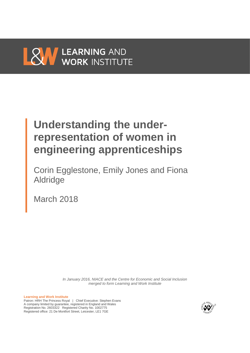# LEARNING AND **WORK INSTITUTE**

# **Understanding the underrepresentation of women in engineering apprenticeships**

Corin Egglestone, Emily Jones and Fiona Aldridge

March 2018

*In January 2016, NIACE and the Centre for Economic and Social Inclusion merged to form Learning and Work Institute*

**Learning and Work Institute** Patron: HRH The Princess Royal | Chief Executive: Stephen Evans A company limited by guarantee, registered in England and Wales Registration No. 2603322 Registered Charity No. 1002775 Registered office: 21 De Montfort Street, Leicester, LE1 7GE

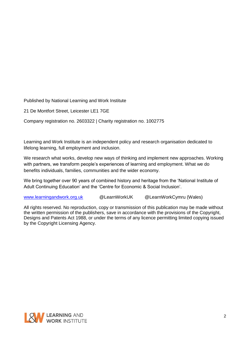Published by National Learning and Work Institute

21 De Montfort Street, Leicester LE1 7GE

Company registration no. 2603322 | Charity registration no. 1002775

Learning and Work Institute is an independent policy and research organisation dedicated to lifelong learning, full employment and inclusion.

We research what works, develop new ways of thinking and implement new approaches. Working with partners, we transform people's experiences of learning and employment. What we do benefits individuals, families, communities and the wider economy.

We bring together over 90 years of combined history and heritage from the 'National Institute of Adult Continuing Education' and the 'Centre for Economic & Social Inclusion'.

[www.learningandwork.org.uk](http://www.learningandwork.org.uk/) @LearnWorkUK @LearnWorkCymru (Wales)

All rights reserved. No reproduction, copy or transmission of this publication may be made without the written permission of the publishers, save in accordance with the provisions of the Copyright, Designs and Patents Act 1988, or under the terms of any licence permitting limited copying issued by the Copyright Licensing Agency.

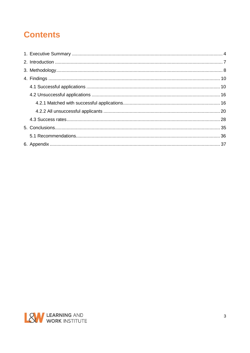# **Contents**

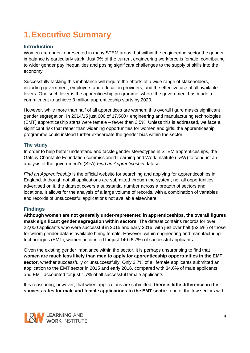# <span id="page-3-0"></span>**1.Executive Summary**

#### **Introduction**

Women are under-represented in many STEM areas, but within the engineering sector the gender imbalance is particularly stark. Just 9% of the current engineering workforce is female, contributing to wider gender pay inequalities and posing significant challenges to the supply of skills into the economy.

Successfully tackling this imbalance will require the efforts of a wide range of stakeholders, including government, employers and education providers; and the effective use of all available levers. One such lever is the apprenticeship programme, where the government has made a commitment to achieve 3 million apprenticeship starts by 2020.

However, while more than half of all apprentices are women; this overall figure masks significant gender segregation. In 2014/15 just 600 of 17,500+ engineering and manufacturing technologies (EMT) apprenticeship starts were female – fewer than 3.5%. Unless this is addressed, we face a significant risk that rather than widening opportunities for women and girls, the apprenticeship programme could instead further exacerbate the gender bias within the sector.

#### **The study**

In order to help better understand and tackle gender stereotypes in STEM apprenticeships, the Gatsby Charitable Foundation commissioned Learning and Work Institute (L&W) to conduct an analysis of the government's (SFA) *Find an Apprenticeship* dataset.

*Find an Apprenticeship* is the official website for searching and applying for apprenticeships in England. Although not all applications are submitted through the system, nor all opportunities advertised on it, the dataset covers a substantial number across a breadth of sectors and locations. It allows for the analysis of a large volume of records, with a combination of variables and records of unsuccessful applications not available elsewhere.

## **Findings**

**Although women are not generally under-represented in apprenticeships, the overall figures mask significant gender segregation within sectors.** The dataset contains records for over 22,000 applicants who were successful in 2015 and early 2016, with just over half (52.5%) of those for whom gender data is available being female. However, within engineering and manufacturing technologies (EMT), women accounted for just 140 (6.7%) of successful applicants.

Given the existing gender imbalance within the sector, it is perhaps unsurprising to find that **women are much less likely than men to apply for apprenticeship opportunities in the EMT sector**, whether successfully or unsuccessfully. Only 3.7% of all female applicants submitted an application to the EMT sector in 2015 and early 2016, compared with 34.6% of male applicants; and EMT accounted for just 1.7% of all successful female applicants.

It is reassuring, however, that when applications are submitted, **there is little difference in the success rates for male and female applications to the EMT sector**, one of the few sectors with

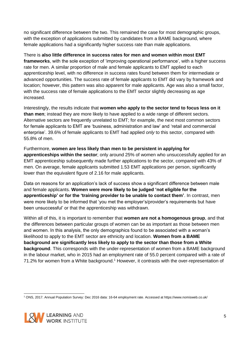no significant difference between the two. This remained the case for most demographic groups, with the exception of applications submitted by candidates from a BAME background, where female applications had a significantly higher success rate than male applications.

There is **also little difference in success rates for men and women within most EMT frameworks**, with the sole exception of 'improving operational performance', with a higher success rate for men. A similar proportion of male and female applicants to EMT applied to each apprenticeship level, with no difference in success rates found between them for intermediate or advanced opportunities. The success rate of female applicants to EMT did vary by framework and location; however, this pattern was also apparent for male applicants. Age was also a small factor, with the success rate of female applications to the EMT sector slightly decreasing as age increased.

Interestingly, the results indicate that **women who apply to the sector tend to focus less on it than men**; instead they are more likely to have applied to a wide range of different sectors. Alternative sectors are frequently unrelated to EMT; for example, the next most common sectors for female applicants to EMT are 'business, administration and law' and 'retail and commercial enterprise'. 39.6% of female applicants to EMT had applied *only* to this sector, compared with 55.8% of men.

#### Furthermore, **women are less likely than men to be persistent in applying for apprenticeships within the sector**; only around 25% of women who unsuccessfully applied for an EMT apprenticeship subsequently made further applications to the sector, compared with 43% of men. On average, female applicants submitted 1.53 EMT applications per person, significantly

lower than the equivalent figure of 2.16 for male applicants. Data on reasons for an application's lack of success show a significant difference between male and female applicants. **Women were more likely to be judged 'not eligible for the apprenticeship' or for the 'training provider to be unable to contact them'**. In contrast, men were more likely to be informed that 'you met the employer's/provider's requirements but have

been unsuccessful' or that the apprenticeship was withdrawn.

Within all of this, it is important to remember that **women are not a homogenous group**, and that the differences between particular groups of women can be as important as those between men and women. In this analysis, the only demographics found to be associated with a woman's likelihood to apply to the EMT sector are ethnicity and location. **Women from a BAME background are significantly less likely to apply to the sector than those from a White background**. This corresponds with the under-representation of women from a BAME background in the labour market, who in 2015 had an employment rate of 55.0 percent compared with a rate of 71.2% for women from a White background.<sup>1</sup> However, it contrasts with the over-representation of

<sup>-</sup><sup>1</sup> ONS, 2017. Annual Population Survey: Dec 2016 data: 16-64 employment rate. Accessed at https://www.nomisweb.co.uk/

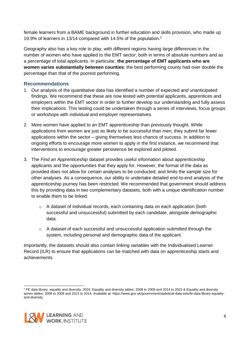female learners from a BAME background in further education and skills provision, who made up 19.9% of learners in 13/14 compared with 14.5% of the population.<sup>2</sup>

Geography also has a key role to play, with different regions having large differences in the number of women who have applied to the EMT sector; both in terms of absolute numbers and as a percentage of total applicants. In particular, **the percentage of EMT applicants who are women varies substantially between counties**; the best performing county had over double the percentage than that of the poorest performing.

#### **Recommendations**

- 1. Our analysis of the quantitative data has identified a number of expected *and* unanticipated findings. We recommend that these are now tested with potential applicants, apprentices and employers within the EMT sector in order to further develop our understanding and fully assess their implications. This testing could be undertaken through a series of interviews, focus groups or workshops with individual and employer representatives.
- 2. More women have applied to an EMT apprenticeship than previously thought. While applications from women are just as likely to be successful than men, they submit far fewer applications within the sector – giving themselves less chance of success. In addition to ongoing efforts to encourage more women to apply in the first instance, we recommend that interventions to encourage greater persistence be explored and piloted.
- 3. The *Find an Apprenticeship* dataset provides useful information about apprenticeship applicants and the opportunities that they apply for. However, the format of the data as provided does not allow for certain analyses to be conducted, and limits the sample size for other analyses. As a consequence, our ability to undertake detailed end-to-end analysis of the apprenticeship journey has been restricted. We recommended that government should address this by providing data in two complementary datasets, both with a unique identification number to enable them to be linked:
	- $\circ$  A dataset of individual records, each containing data on each application (both successful and unsuccessful) submitted by each candidate, alongside demographic data.
	- $\circ$  A dataset of each successful and unsuccessful application submitted through the system, including personal and demographic data of the applicant.

Importantly, the datasets should also contain linking variables with the Individualised Learner Record (ILR) to ensure that applications can be matched with data on apprenticeship starts and achievements.

<sup>1</sup> <sup>2</sup> FE data library: equality and diversity, 2016. Equality and diversity tables: 2008 to 2009 and 2014 to 2015 & Equality and diversity annex tables: 2008 to 2009 and 2013 to 2014. Available at: https://www.gov.uk/government/statistical-data-sets/fe-data-library-equalityand-diversity

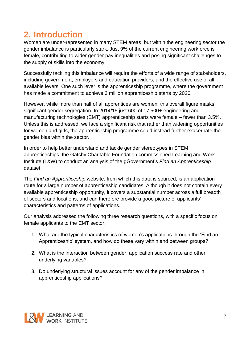# <span id="page-6-0"></span>**2. Introduction**

Women are under-represented in many STEM areas, but within the engineering sector the gender imbalance is particularly stark. Just 9% of the current engineering workforce is female, contributing to wider gender pay inequalities and posing significant challenges to the supply of skills into the economy.

Successfully tackling this imbalance will require the efforts of a wide range of stakeholders, including government, employers and education providers; and the effective use of all available levers. One such lever is the apprenticeship programme, where the government has made a commitment to achieve 3 million apprenticeship starts by 2020.

However, while more than half of all apprentices are women; this overall figure masks significant gender segregation. In 2014/15 just 600 of 17,500+ engineering and manufacturing technologies (EMT) apprenticeship starts were female – fewer than 3.5%. Unless this is addressed, we face a significant risk that rather than widening opportunities for women and girls, the apprenticeship programme could instead further exacerbate the gender bias within the sector.

In order to help better understand and tackle gender stereotypes in STEM apprenticeships, the Gatsby Charitable Foundation commissioned Learning and Work Institute (L&W) to conduct an analysis of the gGovernment's *Find an Apprenticeship* dataset.

The *Find an Apprenticeship* website, from which this data is sourced, is an application route for a large number of apprenticeship candidates. Although it does not contain every available apprenticeship opportunity, it covers a substantial number across a full breadth of sectors and locations, and can therefore provide a good picture of applicants' characteristics and patterns of applications.

Our analysis addressed the following three research questions, with a specific focus on female applicants to the EMT sector.

- 1. What are the typical characteristics of women's applications through the 'Find an Apprenticeship' system, and how do these vary within and between groups?
- 2. What is the interaction between gender, application success rate and other underlying variables?
- 3. Do underlying structural issues account for any of the gender imbalance in apprenticeship applications?

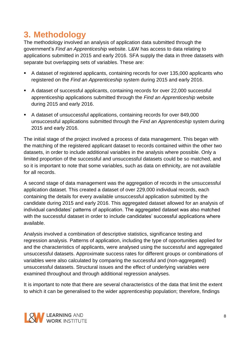# <span id="page-7-0"></span>**3. Methodology**

The methodology involved an analysis of application data submitted through the government's *Find an Apprenticeship* website. L&W has access to data relating to applications submitted in 2015 and early 2016. SFA supply the data in three datasets with separate but overlapping sets of variables. These are:

- A dataset of registered applicants, containing records for over 135,000 applicants who registered on the *Find an Apprenticeship* system during 2015 and early 2016.
- A dataset of successful applicants, containing records for over 22,000 successful apprenticeship applications submitted through the *Find an Apprenticeship* website during 2015 and early 2016.
- A dataset of unsuccessful applications, containing records for over 849,000 unsuccessful applications submitted through the *Find an Apprenticeship* system during 2015 and early 2016.

The initial stage of the project involved a process of data management. This began with the matching of the registered applicant dataset to records contained within the other two datasets, in order to include additional variables in the analysis where possible. Only a limited proportion of the successful and unsuccessful datasets could be so matched, and so it is important to note that some variables, such as data on ethnicity, are not available for all records.

A second stage of data management was the aggregation of records in the unsuccessful application dataset. This created a dataset of over 229,000 individual records, each containing the details for every available unsuccessful application submitted by the candidate during 2015 and early 2016. This aggregated dataset allowed for an analysis of individual candidates' patterns of application. The aggregated dataset was also matched with the successful dataset in order to include candidates' successful applications where available.

Analysis involved a combination of descriptive statistics, significance testing and regression analysis. Patterns of application, including the type of opportunities applied for and the characteristics of applicants, were analysed using the successful and aggregated unsuccessful datasets. Approximate success rates for different groups or combinations of variables were also calculated by comparing the successful and (non-aggregated) unsuccessful datasets. Structural issues and the effect of underlying variables were examined throughout and through additional regression analyses.

It is important to note that there are several characteristics of the data that limit the extent to which it can be generalised to the wider apprenticeship population; therefore, findings

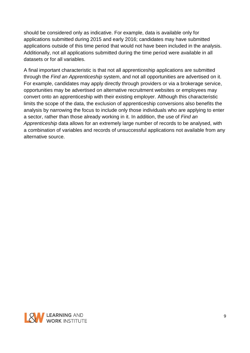should be considered only as indicative. For example, data is available only for applications submitted during 2015 and early 2016; candidates may have submitted applications outside of this time period that would not have been included in the analysis. Additionally, not all applications submitted during the time period were available in all datasets or for all variables.

A final important characteristic is that not all apprenticeship applications are submitted through the *Find an Apprenticeship* system, and not all opportunities are advertised on it. For example, candidates may apply directly through providers or via a brokerage service, opportunities may be advertised on alternative recruitment websites or employees may convert onto an apprenticeship with their existing employer. Although this characteristic limits the scope of the data, the exclusion of apprenticeship conversions also benefits the analysis by narrowing the focus to include only those individuals who are applying to enter a sector, rather than those already working in it. In addition, the use of *Find an Apprenticeship* data allows for an extremely large number of records to be analysed, with a combination of variables and records of unsuccessful applications not available from any alternative source.

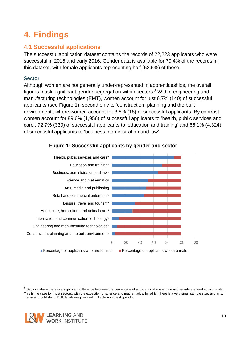# <span id="page-9-0"></span>**4. Findings**

# <span id="page-9-1"></span>**4.1 Successful applications**

The successful application dataset contains the records of 22,223 applicants who were successful in 2015 and early 2016. Gender data is available for 70.4% of the records in this dataset, with female applicants representing half (52.5%) of these.

# **Sector**

Although women are not generally under-represented in apprenticeships, the overall figures mask significant gender segregation within sectors. <sup>3</sup> Within engineering and manufacturing technologies (EMT), women account for just 6.7% (140) of successful applicants (see Figure 1), second only to 'construction, planning and the built environment', where women account for 3.8% (18) of successful applicants. By contrast, women account for 89.6% (1,956) of successful applicants to 'health, public services and care', 72.7% (330) of successful applicants to 'education and training' and 66.1% (4,324) of successful applicants to 'business, administration and law'.



#### **Figure 1: Successful applicants by gender and sector**

**Percentage of applicants who are female Percentage of applicants who are male** 

 $3$  Sectors where there is a significant difference between the percentage of applicants who are male and female are marked with a star. This is the case for most sectors, with the exception of science and mathematics, for which there is a very small sample size, and arts, media and publishing. Full details are provided in Table A in the Appendix.



1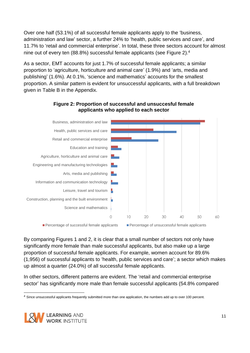Over one half (53.1%) of all successful female applicants apply to the 'business, administration and law' sector, a further 24% to 'health, public services and care', and 11.7% to 'retail and commercial enterprise'. In total, these three sectors account for almost nine out of every ten (88.8%) successful female applicants (see Figure 2). 4

As a sector, EMT accounts for just 1.7% of successful female applicants; a similar proportion to 'agriculture, horticulture and animal care' (1.9%) and 'arts, media and publishing' (1.6%). At 0.1%, 'science and mathematics' accounts for the smallest proportion. A similar pattern is evident for unsuccessful applicants, with a full breakdown given in Table B in the Appendix.



#### **Figure 2: Proportion of successful and unsuccesful female applicants who applied to each sector**

By comparing Figures 1 and 2, it is clear that a small number of sectors not only have significantly more female than male successful applicants, but also make up a large proportion of successful female applicants. For example, women account for 89.6% (1,956) of successful applicants to 'health, public services and care'; a sector which makes up almost a quarter (24.0%) of all successful female applicants.

In other sectors, different patterns are evident. The 'retail and commercial enterprise sector' has significantly more male than female successful applicants (54.8% compared

<sup>&</sup>lt;sup>4</sup> Since unsuccessful applicants frequently submitted more than one application, the numbers add up to over 100 percent.



1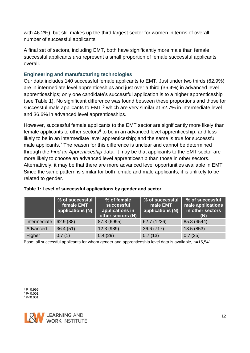with 46.2%), but still makes up the third largest sector for women in terms of overall number of successful applicants.

A final set of sectors, including EMT, both have significantly more male than female successful applicants *and* represent a small proportion of female successful applicants overall.

# **Engineering and manufacturing technologies**

Our data includes 140 successful female applicants to EMT. Just under two thirds (62.9%) are in intermediate level apprenticeships and just over a third (36.4%) in advanced level apprenticeships; only one candidate's successful application is to a higher apprenticeship (see Table 1). No significant difference was found between these proportions and those for successful male applicants to  $EMT<sub>5</sub>$  which are very similar at 62.7% in intermediate level and 36.6% in advanced level apprenticeships.

However, successful female applicants to the EMT sector are significantly more likely than female applicants to other sectors $6$  to be in an advanced level apprenticeship, and less likely to be in an intermediate level apprenticeship; and the same is true for successful male applicants.<sup>7</sup> The reason for this difference is unclear and cannot be determined through the *Find an Apprenticeship* data. It may be that applicants to the EMT sector are more likely to choose an advanced level apprenticeship than those in other sectors. Alternatively, it may be that there are more advanced level opportunities available in EMT. Since the same pattern is similar for both female and male applicants, it is unlikely to be related to gender.

|              | % of successful<br>female EMT<br>applications (N) | % of female<br>successful<br>$ $ applications in $ $<br>other sectors (N) | % of successful<br>male EMT<br>applications (N) | % of successful<br>male applications<br>in other sectors<br>(N) |
|--------------|---------------------------------------------------|---------------------------------------------------------------------------|-------------------------------------------------|-----------------------------------------------------------------|
| Intermediate | 62.9(88)                                          | 87.3 (6995)                                                               | 62.7 (1226)                                     | 85.8 (4544)                                                     |
| Advanced     | 36.4(51)                                          | 12.3 (989)                                                                | 36.6 (717)                                      | 13.5(853)                                                       |
| Higher       | 0.7(1)                                            | 0.4(29)                                                                   | 0.7(13)                                         | 0.7(35)                                                         |

#### **Table 1: Level of successful applications by gender and sector**

Base: all successful applicants for whom gender and apprenticeship level data is available, n=15,541

<sup>1</sup>  $5$  P=0.996  $6 P < 0.001$ 



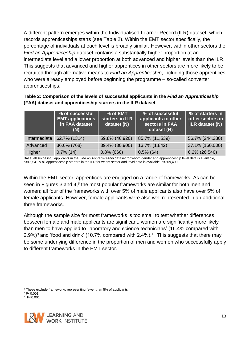A different pattern emerges within the Individualised Learner Record (ILR) dataset, which records apprenticeships starts (see Table 2). Within the EMT sector specifically, the percentage of individuals at each level is broadly similar. However, within other sectors the *Find an Apprenticeship* dataset contains a substantially higher proportion at an intermediate level and a lower proportion at both advanced and higher levels than the ILR. This suggests that advanced and higher apprentices in other sectors are more likely to be recruited through alternative means to *Find an Apprenticeship*, including those apprentices who were already employed before beginning the programme – so-called converter apprenticeships.

#### **Table 2: Comparison of the levels of successful applicants in the** *Find an Apprenticeship* **(FAA) dataset and apprenticeship starters in the ILR dataset**

|              | % of successful<br><b>EMT applications</b><br>in FAA dataset<br>(N) | % of EMT<br>starters in ILR<br>dataset (N) | % of successful<br>applicants to other<br>sectors in FAA<br>dataset (N) | % of starters in<br>other sectors in<br><b>ILR dataset (N)</b> |
|--------------|---------------------------------------------------------------------|--------------------------------------------|-------------------------------------------------------------------------|----------------------------------------------------------------|
| Intermediate | 62.7% (1314)                                                        | 59.8% (46,920)                             | 85.7% (11,539)                                                          | 56.7% (244,380)                                                |
| Advanced     | 36.6% (768)                                                         | 39.4% (30,900)                             | 13.7% (1,842)                                                           | 37.1% (160,000)                                                |
| Higher       | $0.7\%$ (14)                                                        | $0.8\%$ (660)                              | $0.5\%$ (64)                                                            | 6.2% (26,540)                                                  |

Base: all successful applicants in the *Find an Apprenticeship* dataset for whom gender and apprenticeship level data is available, n=15,541 & all apprenticeship starters in the ILR for whom sector and level data is available, n=509,400

Within the EMT sector, apprentices are engaged on a range of frameworks. As can be seen in Figures 3 and  $4<sup>8</sup>$  the most popular frameworks are similar for both men and women; all four of the frameworks with over 5% of male applicants also have over 5% of female applicants. However, female applicants were also well represented in an additional three frameworks.

Although the sample size for most frameworks is too small to test whether differences between female and male applicants are significant, women are significantly more likely than men to have applied to 'laboratory and science technicians' (16.4% compared with 2.9%)<sup>9</sup> and 'food and drink' (10.7% compared with 2.4%).<sup>10</sup> This suggests that there may be some underlying difference in the proportion of men and women who successfully apply to different frameworks in the EMT sector.

 $10$  P<0.001



<sup>1</sup> <sup>8</sup> These exclude frameworks representing fewer than 5% of applicants

 $9 P < 0.001$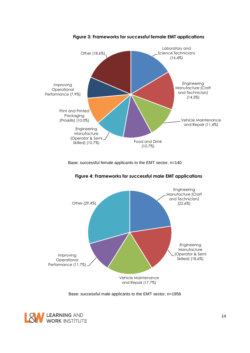

#### **Figure 3: Frameworks for successful female EMT applications**

Base: successful female applicants to the EMT sector, n=140





Base: successful male applicants to the EMT sector, n=1956

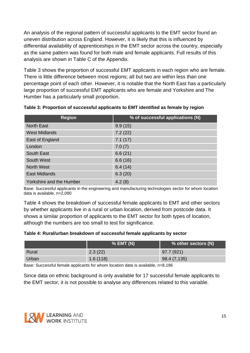An analysis of the regional pattern of successful applicants to the EMT sector found an uneven distribution across England. However, it is likely that this is influenced by differential availability of apprenticeships in the EMT sector across the country, especially as the same pattern was found for both male and female applicants. Full results of this analysis are shown in Table C of the Appendix.

Table 3 shows the proportion of successful EMT applicants in each region who are female. There is little difference between most regions; all but two are within less than one percentage point of each other. However, it is notable that the North East has a particularly large proportion of successful EMT applicants who are female and Yorkshire and The Humber has a particularly small proportion.

| <b>Region</b>            | % of successful applications (N) |
|--------------------------|----------------------------------|
| <b>North East</b>        | 9.9(15)                          |
| <b>West Midlands</b>     | 7.2(22)                          |
| East of England          | 7.1(17)                          |
| London                   | 7.0(7)                           |
| <b>South East</b>        | 6.6(21)                          |
| South West               | 6.6(16)                          |
| <b>North West</b>        | 6.4(14)                          |
| <b>East Midlands</b>     | 6.3(20)                          |
| Yorkshire and the Humber | 4.2(8)                           |

**Table 3: Proportion of successful applicants to EMT identified as female by region**

Base: Successful applicants in the engineering and manufacturing technologies sector for whom location data is available, n=2,090

Table 4 shows the breakdown of successful female applicants to EMT and other sectors by whether applicants live in a rural or urban location, derived from postcode data. It shows a similar proportion of applicants to the EMT sector for both types of location, although the numbers are too small to test for significance.

## **Table 4: Rural/urban breakdown of successful female applicants by sector**

|       | $\%$ EMT (N) | % other sectors (N) |
|-------|--------------|---------------------|
| Rural | 2.3(22)      | 97.7(921)           |
| Urban | 1.6(118)     | 98.4 (7,135)        |

Base: Successful female applicants for whom location data is available, n=8,196

Since data on ethnic background is only available for 17 successful female applicants to the EMT sector, it is not possible to analyse any differences related to this variable.

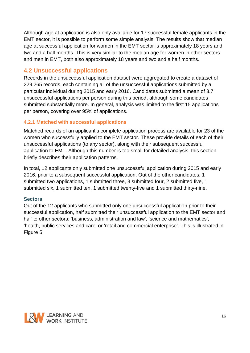Although age at application is also only available for 17 successful female applicants in the EMT sector, it is possible to perform some simple analysis. The results show that median age at successful application for women in the EMT sector is approximately 18 years and two and a half months. This is very similar to the median age for women in other sectors and men in EMT, both also approximately 18 years and two and a half months.

# <span id="page-15-0"></span>**4.2 Unsuccessful applications**

Records in the unsuccessful application dataset were aggregated to create a dataset of 229,265 records, each containing all of the unsuccessful applications submitted by a particular individual during 2015 and early 2016. Candidates submitted a mean of 3.7 unsuccessful applications per person during this period, although some candidates submitted substantially more. In general, analysis was limited to the first 15 applications per person, covering over 95% of applications.

# <span id="page-15-1"></span>**4.2.1 Matched with successful applications**

Matched records of an applicant's complete application process are available for 23 of the women who successfully applied to the EMT sector. These provide details of each of their unsuccessful applications (to any sector), along with their subsequent successful application to EMT. Although this number is too small for detailed analysis, this section briefly describes their application patterns.

In total, 12 applicants only submitted one unsuccessful application during 2015 and early 2016, prior to a subsequent successful application. Out of the other candidates, 1 submitted two applications, 1 submitted three, 3 submitted four, 2 submitted five, 1 submitted six, 1 submitted ten, 1 submitted twenty-five and 1 submitted thirty-nine.

## **Sectors**

Out of the 12 applicants who submitted only one unsuccessful application prior to their successful application, half submitted their unsuccessful application to the EMT sector and half to other sectors: 'business, administration and law', 'science and mathematics', 'health, public services and care' or 'retail and commercial enterprise'. This is illustrated in Figure 5.

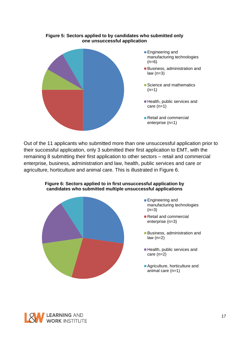

#### **Figure 5: Sectors applied to by candidates who submitted only one unsuccessful application**

Out of the 11 applicants who submitted more than one unsuccessful application prior to their successful application, only 3 submitted their first application to EMT, with the remaining 8 submitting their first application to other sectors – retail and commercial enterprise, business, administration and law, health, public services and care or agriculture, horticulture and animal care. This is illustrated in Figure 6.



#### **Figure 6: Sectors applied to in first unsuccessful application by candidates who submitted multiple unsuccessful applications**

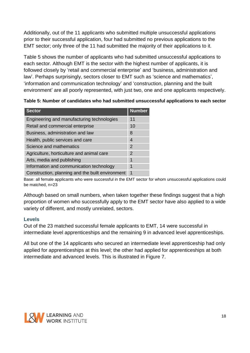Additionally, out of the 11 applicants who submitted multiple unsuccessful applications prior to their successful application, four had submitted no previous applications to the EMT sector; only three of the 11 had submitted the majority of their applications to it.

Table 5 shows the number of applicants who had submitted unsuccessful applications to each sector. Although EMT is the sector with the highest number of applicants, it is followed closely by 'retail and commercial enterprise' and 'business, administration and law'. Perhaps surprisingly, sectors closer to EMT such as 'science and mathematics', 'information and communication technology' and 'construction, planning and the built environment' are all poorly represented, with just two, one and one applicants respectively.

**Table 5: Number of candidates who had submitted unsuccessful applications to each sector**

| <b>Sector</b>                                    | <b>Number</b> |
|--------------------------------------------------|---------------|
| Engineering and manufacturing technologies       | 11            |
| Retail and commercial enterprise                 | 10            |
| Business, administration and law                 | 8             |
| Health, public services and care                 | 4             |
| Science and mathematics                          | 2             |
| Agriculture, horticulture and animal care        | 2             |
| Arts, media and publishing                       | 1             |
| Information and communication technology         | 1             |
| Construction, planning and the built environment | -1            |

Base: all female applicants who were successful in the EMT sector for whom unsuccessful applications could be matched, n=23

Although based on small numbers, when taken together these findings suggest that a high proportion of women who successfully apply to the EMT sector have also applied to a wide variety of different, and mostly unrelated, sectors.

## **Levels**

Out of the 23 matched successful female applicants to EMT, 14 were successful in intermediate level apprenticeships and the remaining 9 in advanced level apprenticeships.

All but one of the 14 applicants who secured an intermediate level apprenticeship had only applied for apprenticeships at this level; the other had applied for apprenticeships at both intermediate and advanced levels. This is illustrated in Figure 7.

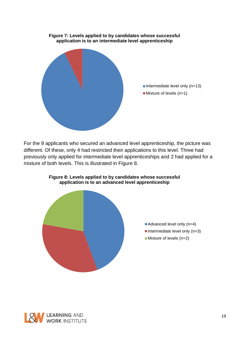

For the 9 applicants who secured an advanced level apprenticeship, the picture was different. Of these, only 4 had restricted their applications to this level. Three had previously only applied for intermediate level apprenticeships and 2 had applied for a mixture of both levels. This is illustrated in Figure 8.



#### **Figure 8: Levels applied to by candidates whose successful application is to an advanced level apprenticeship**

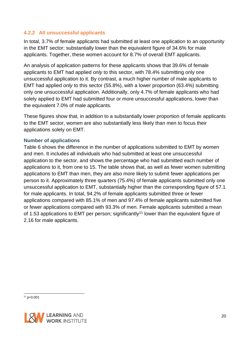## <span id="page-19-0"></span>**4.2.2 All unsuccessful applicants**

In total, 3.7% of female applicants had submitted at least one application to an opportunity in the EMT sector; substantially lower than the equivalent figure of 34.6% for male applicants. Together, these women account for 8.7% of overall EMT applicants.

An analysis of application patterns for these applicants shows that 39.6% of female applicants to EMT had applied *only* to this sector, with 78.4% submitting only one unsuccessful application to it. By contrast, a much higher number of male applicants to EMT had applied *only* to this sector (55.8%), with a lower proportion (63.4%) submitting only one unsuccessful application. Additionally, only 4.7% of female applicants who had solely applied to EMT had submitted four or more unsuccessful applications, lower than the equivalent 7.0% of male applicants.

These figures show that, in addition to a substantially lower proportion of female applicants to the EMT sector, women are also substantially less likely than men to focus their applications solely on EMT.

#### **Number of applications**

Table 6 shows the difference in the number of applications submitted to EMT by women and men. It includes all individuals who had submitted at least one unsuccessful application to the sector, and shows the percentage who had submitted each number of applications to it, from one to 15. The table shows that, as well as fewer women submitting applications to EMT than men, they are also more likely to submit fewer applications per person to it. Approximately three quarters (75.4%) of female applicants submitted only one unsuccessful application to EMT, substantially higher than the corresponding figure of 57.1 for male applicants. In total, 94.2% of female applicants submitted three or fewer applications compared with 85.1% of men and 97.4% of female applicants submitted five or fewer applications compared with 93.3% of men. Female applicants submitted a mean of 1.53 applications to EMT per person; significantly<sup>11</sup> lower than the equivalent figure of 2.16 for male applicants.

- $11$  p<0.001

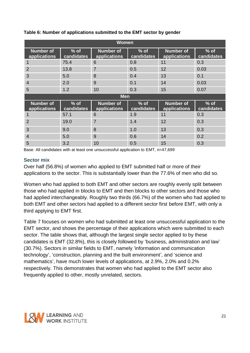| <b>Women</b>                     |                      |                                  |                      |                                  |                      |  |
|----------------------------------|----------------------|----------------------------------|----------------------|----------------------------------|----------------------|--|
| <b>Number of</b><br>applications | $%$ of<br>candidates | <b>Number of</b><br>applications | $%$ of<br>candidates | <b>Number of</b><br>applications | $%$ of<br>candidates |  |
|                                  | 75.4                 | 6                                | 0.8                  | 11                               | 0.3                  |  |
| $\overline{2}$                   | 13.8                 | $\overline{7}$                   | 0.5                  | 12                               | 0.03                 |  |
| 3                                | 5.0                  | 8                                | 0.4                  | 13                               | 0.1                  |  |
| $\overline{4}$                   | 2.0                  | 9                                | 0.1                  | 14                               | 0.03                 |  |
| 5                                | 1.2                  | 10                               | 0.3                  | 15                               | 0.07                 |  |
|                                  |                      | <b>Men</b>                       |                      |                                  |                      |  |
| <b>Number of</b><br>applications | $%$ of<br>candidates | <b>Number of</b><br>applications | $%$ of<br>candidates | <b>Number of</b><br>applications | $%$ of<br>candidates |  |
| 1                                | 57.1                 | 6                                | 1.9                  | 11                               | 0.3                  |  |
|                                  |                      |                                  |                      |                                  |                      |  |
| $\overline{2}$                   | 19.0                 | $\overline{7}$                   | 1.4                  | 12                               | 0.3                  |  |
| 3                                | 9.0                  | 8                                | 1.0                  | 13                               | 0.3                  |  |
| $\overline{4}$                   | 5.0                  | 9                                | 0.6                  | 14                               | 0.2                  |  |

**Table 6: Number of applications submitted to the EMT sector by gender**

Base: All candidates with at least one unsuccessful application to EMT, n=47,699

## **Sector mix**

Over half (56.8%) of women who applied to EMT submitted half or more of their applications to the sector. This is substantially lower than the 77.6% of men who did so.

Women who had applied to both EMT and other sectors are roughly evenly split between those who had applied in blocks to EMT and then blocks to other sectors and those who had applied interchangeably. Roughly two thirds (66.7%) of the women who had applied to both EMT and other sectors had applied to a different sector first before EMT, with only a third applying to EMT first.

Table 7 focuses on women who had submitted at least one unsuccessful application to the EMT sector, and shows the percentage of their applications which were submitted to each sector. The table shows that, although the largest single sector applied to by these candidates is EMT (32.8%), this is closely followed by 'business, administration and law' (30.7%). Sectors in similar fields to EMT, namely 'information and communication technology', 'construction, planning and the built environment', and 'science and mathematics', have much lower levels of applications, at 2.9%, 2.0% and 0.2% respectively. This demonstrates that women who had applied to the EMT sector also frequently applied to other, mostly unrelated, sectors.

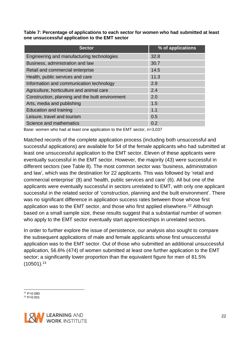**Table 7: Percentage of applications to each sector for women who had submitted at least one unsuccessful application to the EMT sector**

| <b>Sector</b>                                    | % of applications |
|--------------------------------------------------|-------------------|
| Engineering and manufacturing technologies       | 32.8              |
| Business, administration and law                 | 30.7              |
| Retail and commercial enterprise                 | 14.5              |
| Health, public services and care                 | 11.3              |
| Information and communication technology         | 2.9               |
| Agriculture, horticulture and animal care        | 2.4               |
| Construction, planning and the built environment | 2.0               |
| Arts, media and publishing                       | 1.5               |
| <b>Education and training</b>                    | 1.1               |
| Leisure, travel and tourism                      | 0.5               |
| Science and mathematics                          | 0.2               |

Base: women who had at least one application to the EMT sector, n=3,037

Matched records of the complete application process (including both unsuccessful and successful applications) are available for 54 of the female applicants who had submitted at least one unsuccessful application to the EMT sector. Eleven of these applicants were eventually successful in the EMT sector. However, the majority (43) were successful in different sectors (see Table 8). The most common sector was 'business, administration and law', which was the destination for 22 applicants. This was followed by 'retail and commercial enterprise' (8) and 'health, public services and care' (6). All but one of the applicants were eventually successful in sectors unrelated to EMT, with only one applicant successful in the related sector of 'construction, planning and the built environment'. There was no significant difference in application success rates between those whose first application was to the EMT sector, and those who first applied elsewhere.<sup>12</sup> Although based on a small sample size, these results suggest that a substantial number of women who apply to the EMT sector eventually start apprenticeships in unrelated sectors.

In order to further explore the issue of persistence, our analysis also sought to compare the subsequent applications of male and female applicants whose first unsuccessful application was to the EMT sector. Out of those who submitted an additional unsuccessful application, 56.6% (474) of women submitted at least one further application to the EMT sector; a significantly lower proportion than the equivalent figure for men of 81.5%  $(10501).$ <sup>13</sup>

1  $12$  P=0.080 <sup>13</sup> P<0.001

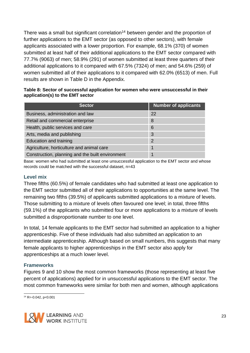There was a small but significant correlation<sup>14</sup> between gender and the proportion of further applications to the EMT sector (as opposed to other sectors), with female applicants associated with a lower proportion. For example, 68.1% (370) of women submitted at least half of their additional applications to the EMT sector compared with 77.7% (9063) of men; 58.9% (291) of women submitted at least three quarters of their additional applications to it compared with 67.5% (7324) of men; and 54.6% (259) of women submitted all of their applications to it compared with 62.0% (6513) of men. Full results are shown in Table D in the Appendix.

#### **Table 8: Sector of successful application for women who were unsuccessful in their application(s) to the EMT sector**

| <b>Sector</b>                                    | <b>Number of applicants</b> |
|--------------------------------------------------|-----------------------------|
| Business, administration and law                 | 22                          |
| Retail and commercial enterprise                 | 8                           |
| Health, public services and care                 | 6                           |
| Arts, media and publishing                       | 3                           |
| Education and training                           | 2                           |
| Agriculture, horticulture and animal care        |                             |
| Construction, planning and the built environment |                             |

Base: women who had submitted at least one unsuccessful application to the EMT sector and whose records could be matched with the successful dataset, n=43

## **Level mix**

Three fifths (60.5%) of female candidates who had submitted at least one application to the EMT sector submitted all of their applications to opportunities at the same level. The remaining two fifths (39.5%) of applicants submitted applications to a mixture of levels. Those submitting to a mixture of levels often favoured one level; in total, three fifths (59.1%) of the applicants who submitted four or more applications to a mixture of levels submitted a disproportionate number to one level.

In total, 14 female applicants to the EMT sector had submitted an application to a higher apprenticeship. Five of these individuals had also submitted an application to an intermediate apprenticeship. Although based on small numbers, this suggests that many female applicants to higher apprenticeships in the EMT sector also apply for apprenticeships at a much lower level.

## **Frameworks**

Figures 9 and 10 show the most common frameworks (those representing at least five percent of applications) applied for in unsuccessful applications to the EMT sector. The most common frameworks were similar for both men and women, although applications

<sup>-</sup> $14$  R=-0.042, p<0.001

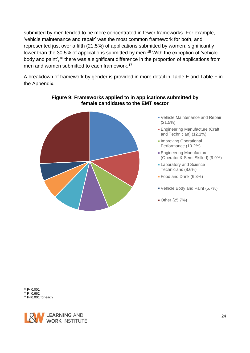submitted by men tended to be more concentrated in fewer frameworks. For example, 'vehicle maintenance and repair' was the most common framework for both, and represented just over a fifth (21.5%) of applications submitted by women; significantly lower than the 30.5% of applications submitted by men.<sup>15</sup> With the exception of 'vehicle body and paint',<sup>16</sup> there was a significant difference in the proportion of applications from men and women submitted to each framework.<sup>17</sup>

A breakdown of framework by gender is provided in more detail in Table E and Table F in the Appendix.



## **Figure 9: Frameworks applied to in applications submitted by female candidates to the EMT sector**

- Vehicle Maintenance and Repair (21.5%)
- **Engineering Manufacture (Craft**) and Technician) (12.1%)
- **Improving Operational** Performance (10.2%)
- **Engineering Manufacture** (Operator & Semi Skilled) (9.9%)
- **Laboratory and Science** Technicians (8.6%)
- Food and Drink (6.3%)
- Vehicle Body and Paint (5.7%)
- Other (25.7%)

- $16$  P=0.662
- <sup>17</sup> P<0.001 for each



<sup>1</sup> <sup>15</sup> P<0.001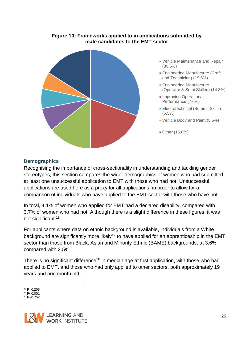#### **Figure 10: Frameworks applied to in applications submitted by male candidates to the EMT sector**



- Vehicle Maintenance and Repair (30.5%)
- Engineering Manufacture (Craft and Technician) (19.6%)
- **Engineering Manufacture** (Operator & Semi Skilled) (14.3%)
- **Improving Operational** Performance (7.6%)
- Electrotechnical (Summit Skills) (6.5%)
- Vehicle Body and Paint (5.5%)
- Other (16.0%)

#### **Demographics**

Recognising the importance of cross-sectionality in understanding and tackling gender stereotypes, this section compares the wider demographics of women who had submitted at least one unsuccessful application to EMT with those who had not. Unsuccessful applications are used here as a proxy for all applications, in order to allow for a comparison of individuals who have applied to the EMT sector with those who have not.

In total, 4.1% of women who applied for EMT had a declared disability, compared with 3.7% of women who had not. Although there is a slight difference in these figures, it was not significant.<sup>18</sup>

For applicants where data on ethnic background is available, individuals from a White background are significantly more likely<sup>19</sup> to have applied for an apprenticeship in the EMT sector than those from Black, Asian and Minority Ethnic (BAME) backgrounds, at 3.6% compared with 2.5%.

There is no significant difference<sup>20</sup> in median age at first application, with those who had applied to EMT, and those who had only applied to other sectors, both approximately 19 years and one month old.

<sup>1</sup> <sup>18</sup> P=0.205  $19$  P<0.001 <sup>20</sup> P=0.752

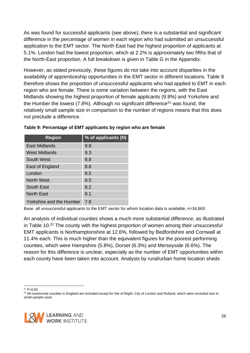As was found for successful applicants (see above), there is a substantial and significant difference in the percentage of women in each region who had submitted an unsuccessful application to the EMT sector. The North East had the highest proportion of applicants at 5.1%. London had the lowest proportion, which at 2.2% is approximately two fifths that of the North-East proportion. A full breakdown is given in Table G in the Appendix.

However, as stated previously, these figures do not take into account disparities in the availability of apprenticeship opportunities in the EMT sector in different locations. Table 9 therefore shows the proportion of unsuccessful applicants who had applied to EMT in each region who are female. There is some variation between the regions, with the East Midlands showing the highest proportion of female applicants (9.8%) and Yorkshire and the Humber the lowest  $(7.8\%)$ . Although no significant difference<sup>21</sup> was found, the relatively small sample size in comparison to the number of regions means that this does not preclude a difference.

| <b>Region</b>            | % of applicants (N) |
|--------------------------|---------------------|
| East Midlands            | 9.8                 |
| West Midlands            | 9.3                 |
| South West               | 8.8                 |
| East of England          | 8.8                 |
| London                   | 8.5                 |
| North West               | 8.5                 |
| <b>South East</b>        | 8.2                 |
| <b>North East</b>        | 8.1                 |
| Yorkshire and the Humber | 7.8                 |

**Table 9: Percentage of EMT applicants by region who are female**

Base: all unsuccessful applicants to the EMT sector for whom location data is available, n=34,663

An analysis of individual counties shows a much more substantial difference, as illustrated in Table 10.<sup>22</sup> The county with the highest proportion of women among their unsuccessful EMT applicants is Northamptonshire at 12.6%, followed by Bedfordshire and Cornwall at 11.4% each. This is much higher than the equivalent figures for the poorest performing counties, which were Hampshire (5.8%), Dorset (6.3%) and Merseyside (6.6%). The reason for this difference is unclear, especially as the number of EMT opportunities within each county have been taken into account. Analysis by rural/urban home location sheds

1  $21$  P=0.65

<sup>&</sup>lt;sup>22</sup> All ceremonial counties in England are included except for Isle of Wight, City of London and Rutland, which were excluded due to small sample sizes

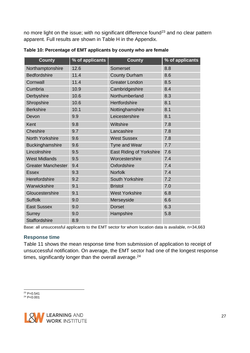no more light on the issue; with no significant difference found<sup>23</sup> and no clear pattern apparent. Full results are shown in Table H in the Appendix.

| <b>County</b>             | % of applicants | <b>County</b>                   | % of applicants |
|---------------------------|-----------------|---------------------------------|-----------------|
| Northamptonshire          | 12.6            | Somerset                        | 8.8             |
| <b>Bedfordshire</b>       | 11.4            | <b>County Durham</b>            | 8.6             |
| Cornwall                  | 11.4            | <b>Greater London</b>           | 8.5             |
| Cumbria                   | 10.9            | Cambridgeshire                  | 8.4             |
| Derbyshire                | 10.6            | Northumberland                  | 8.3             |
| Shropshire                | 10.6            | Hertfordshire                   | 8.1             |
| <b>Berkshire</b>          | 10.1            | Nottinghamshire                 | 8.1             |
| Devon                     | 9.9             | Leicestershire                  | 8.1             |
| Kent                      | 9.8             | Wiltshire                       | 7.8             |
| Cheshire                  | 9.7             | Lancashire                      | 7.8             |
| <b>North Yorkshire</b>    | 9.6             | <b>West Sussex</b>              | 7.8             |
| Buckinghamshire           | 9.6             | Tyne and Wear                   | 7.7             |
| Lincolnshire              | 9.5             | <b>East Riding of Yorkshire</b> | 7.6             |
| <b>West Midlands</b>      | 9.5             | Worcestershire                  | 7.4             |
| <b>Greater Manchester</b> | 9.4             | Oxfordshire                     | 7.4             |
| <b>Essex</b>              | 9.3             | <b>Norfolk</b>                  | 7.4             |
| Herefordshire             | 9.2             | South Yorkshire                 | 7.2             |
| Warwickshire              | 9.1             | <b>Bristol</b>                  | 7.0             |
| Gloucestershire           | 9.1             | <b>West Yorkshire</b>           | 6.8             |
| <b>Suffolk</b>            | 9.0             | Merseyside                      | 6.6             |
| <b>East Sussex</b>        | 9.0             | <b>Dorset</b>                   | 6.3             |
| <b>Surrey</b>             | 9.0             | Hampshire                       | 5.8             |
| <b>Staffordshire</b>      | 8.9             |                                 |                 |

**Table 10: Percentage of EMT applicants by county who are female**

Base: all unsuccessful applicants to the EMT sector for whom location data is available, n=34,663

## **Response time**

Table 11 shows the mean response time from submission of application to receipt of unsuccessful notification. On average, the EMT sector had one of the longest response times, significantly longer than the overall average.<sup>24</sup>

1  $23$  P=0.541  $24$  P<0.001

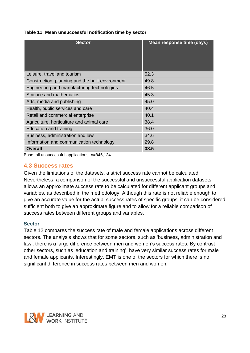|  | Table 11: Mean unsuccessful notification time by sector |  |  |
|--|---------------------------------------------------------|--|--|
|  |                                                         |  |  |

| <b>Sector</b>                                    | Mean response time (days) |
|--------------------------------------------------|---------------------------|
| Leisure, travel and tourism                      | 52.3                      |
| Construction, planning and the built environment | 49.8                      |
| Engineering and manufacturing technologies       | 46.5                      |
| Science and mathematics                          | 45.3                      |
| Arts, media and publishing                       | 45.0                      |
| Health, public services and care                 | 40.4                      |
| Retail and commercial enterprise                 | 40.1                      |
| Agriculture, horticulture and animal care        | 38.4                      |
| Education and training                           | 36.0                      |
| Business, administration and law                 | 34.6                      |
| Information and communication technology         | 29.8                      |
| <b>Overall</b>                                   | 38.5                      |

Base: all unsuccessful applications, n=845,134

# <span id="page-27-0"></span>**4.3 Success rates**

Given the limitations of the datasets, a strict success rate cannot be calculated. Nevertheless, a comparison of the successful and unsuccessful application datasets allows an approximate success rate to be calculated for different applicant groups and variables, as described in the methodology. Although this rate is not reliable enough to give an accurate value for the actual success rates of specific groups, it can be considered sufficient both to give an approximate figure and to allow for a reliable comparison of success rates between different groups and variables.

## **Sector**

Table 12 compares the success rate of male and female applications across different sectors. The analysis shows that for some sectors, such as 'business, administration and law', there is a large difference between men and women's success rates. By contrast other sectors, such as 'education and training', have very similar success rates for male and female applicants. Interestingly, EMT is one of the sectors for which there is no significant difference in success rates between men and women.

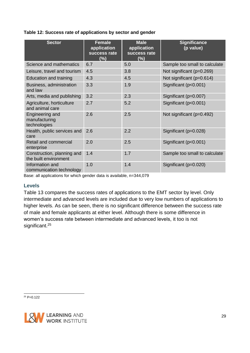#### **Table 12: Success rate of applications by sector and gender**

| <b>Sector</b>                                       | <b>Female</b><br>application<br>success rate<br>(%) | <b>Male</b><br>application<br>success rate<br>(%) | <b>Significance</b><br>(p value) |
|-----------------------------------------------------|-----------------------------------------------------|---------------------------------------------------|----------------------------------|
| Science and mathematics                             | 6.7                                                 | 5.0                                               | Sample too small to calculate    |
| Leisure, travel and tourism                         | 4.5                                                 | 3.8                                               | Not significant (p=0.269)        |
| Education and training                              | 4.3                                                 | 4.5                                               | Not significant (p=0.614)        |
| Business, administration<br>and law                 | 3.3                                                 | 1.9                                               | Significant (p<0.001)            |
| Arts, media and publishing                          | 3.2                                                 | 2.3                                               | Significant (p=0.007)            |
| Agriculture, horticulture<br>and animal care        | 2.7                                                 | 5.2                                               | Significant (p<0.001)            |
| Engineering and<br>manufacturing<br>technologies    | 2.6                                                 | 2.5                                               | Not significant ( $p=0.492$ )    |
| Health, public services and<br>care                 | 2.6                                                 | 2.2                                               | Significant (p=0.028)            |
| Retail and commercial<br>enterprise                 | 2.0                                                 | 2.5                                               | Significant (p<0.001)            |
| Construction, planning and<br>the built environment | 1.4                                                 | 1.7                                               | Sample too small to calculate    |
| Information and<br>communication technology         | 1.0                                                 | 1.4                                               | Significant (p=0.020)            |

Base: all applications for which gender data is available, n=344,079

## **Levels**

Table 13 compares the success rates of applications to the EMT sector by level. Only intermediate and advanced levels are included due to very low numbers of applications to higher levels. As can be seen, there is no significant difference between the success rate of male and female applicants at either level. Although there is some difference in women's success rate between intermediate and advanced levels, it too is not significant.<sup>25</sup>

- $25$  P=0.122

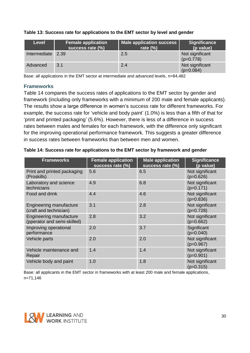| <b>Level</b> | <b>Female application</b><br>success rate (%) | Male application success<br>rate $(\%)$ | <b>Significance</b><br>(p value) |
|--------------|-----------------------------------------------|-----------------------------------------|----------------------------------|
| Intermediate | 2.39                                          | 2.5                                     | Not significant<br>$(p=0.778)$   |
| Advanced     | 3.1                                           | 2.4                                     | Not significant<br>$(p=0.084)$   |

#### **Table 13: Success rate for applications to the EMT sector by level and gender**

Base: all applications in the EMT sector at intermediate and advanced levels, n=84,482

#### **Frameworks**

Table 14 compares the success rates of applications to the EMT sector by gender and framework (including only frameworks with a minimum of 200 male and female applicants). The results show a large difference in women's success rate for different frameworks. For example, the success rate for 'vehicle and body paint' (1.0%) is less than a fifth of that for 'print and printed packaging' (5.6%). However, there is less of a difference in success rates between males and females for each framework, with the difference only significant for the improving operational performance framework. This suggests a greater difference in success rates between frameworks than between men and women.

| <b>Frameworks</b>                                             | <b>Female application</b><br>success rate (%) | <b>Male application</b><br>success rate (%) | <b>Significance</b><br>(p value) |
|---------------------------------------------------------------|-----------------------------------------------|---------------------------------------------|----------------------------------|
| Print and printed packaging<br>(Proskills)                    | 5.6                                           | 6.5                                         | Not significant<br>$(p=0.626)$   |
| Laboratory and science<br>technicians                         | 4.9                                           | 6.8                                         | Not significant<br>$(p=0.171)$   |
| Food and drink                                                | 4.4                                           | 4.6                                         | Not significant<br>$(p=0.836)$   |
| Engineering manufacture<br>(craft and technician)             | 3.1                                           | 2.8                                         | Not significant<br>$(p=0.728)$   |
| <b>Engineering manufacture</b><br>(pperator and semi-skilled) | 2.8                                           | 3.2                                         | Not significant<br>$(p=0.662)$   |
| Improving operational<br>performance                          | 2.0                                           | 3.7                                         | Significant<br>$(p=0.040)$       |
| Vehicle parts                                                 | 2.0                                           | 2.0                                         | Not significant<br>$(p=0.967)$   |
| Vehicle maintenance and<br>Repair                             | 1.4                                           | 1.4                                         | Not significant<br>$(p=0.901)$   |
| Vehicle body and paint                                        | 1.0                                           | 1.8                                         | Not significant<br>$(p=0.315)$   |

**Table 14: Success rate for applications to the EMT sector by framework and gender**

Base: all applicants in the EMT sector in frameworks with at least 200 male and female applications, n=71,146

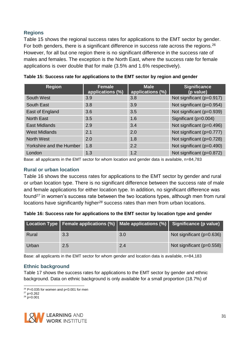# **Regions**

Table 15 shows the regional success rates for applications to the EMT sector by gender. For both genders, there is a significant difference in success rate across the regions.<sup>26</sup> However, for all but one region there is no significant difference in the success rate of males and females. The exception is the North East, where the success rate for female applications is over double that for male (3.5% and 1.6% respectively).

| <b>Region</b>            | <b>Female</b><br>applications (%) | <b>Male</b><br>applications (%) | <b>Significance</b><br>(p value) |
|--------------------------|-----------------------------------|---------------------------------|----------------------------------|
| South West               | 3.9                               | 3.8                             | Not significant (p=0.917)        |
| South East               | 3.8                               | 3.9                             | Not significant (p=0.954)        |
| East of England          | 3.6                               | 3.5                             | Not significant (p=0.939)        |
| <b>North East</b>        | 3.5                               | 1.6                             | Significant (p=0.004)            |
| <b>East Midlands</b>     | 2.9                               | 3.4                             | Not significant (p=0.496)        |
| <b>West Midlands</b>     | 2.1                               | 2.0                             | Not significant (p=0.777)        |
| <b>North West</b>        | 2.0                               | 1.8                             | Not significant (p=0.728)        |
| Yorkshire and the Humber | 1.8                               | 2.2                             | Not significant (p=0.490)        |
| London                   | 1.3                               | 1.2                             | Not significant (p=0.872)        |

**Table 15: Success rate for applications to the EMT sector by region and gender**

Base: all applicants in the EMT sector for whom location and gender data is available, n=84,783

#### **Rural or urban location**

Table 16 shows the success rates for applications to the EMT sector by gender and rural or urban location type. There is no significant difference between the success rate of male and female applications for either location type. In addition, no significant difference was found*<sup>27</sup>* in women's success rate between the two locations types, although men from rural locations have significantly higher*<sup>28</sup>* success rates than men from urban locations.

| Table 16: Success rate for applications to the EMT sector by location type and gender |  |
|---------------------------------------------------------------------------------------|--|
|---------------------------------------------------------------------------------------|--|

|       | Location Type   Female applications (%)   Male applications (%)   Significance (p value) |     |                             |
|-------|------------------------------------------------------------------------------------------|-----|-----------------------------|
| Rural | 3.3                                                                                      | 3.0 | Not significant (p=0.636)   |
| Urban | 2.5                                                                                      | 2.4 | Not significant $(p=0.558)$ |

Base: all applicants in the EMT sector for whom gender and location data is available, n=84,183

## **Ethnic background**

Table 17 shows the success rates for applications to the EMT sector by gender and ethnic background. Data on ethnic background is only available for a small proportion (18.7%) of

1  $26$  P=0.035 for women and p<0.001 for men

 $28$  p=0.001



 $27$  p=0.262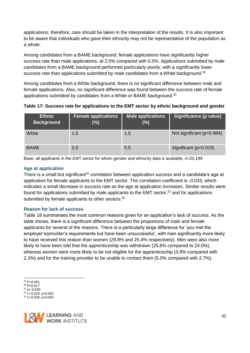applications; therefore, care should be taken in the interpretation of the results. It is also important to be aware that individuals who gave their ethnicity may not be representative of the population as a whole.

Among candidates from a BAME background, female applications have significantly higher success rate than male applications, at 2.0% compared with 0.5%. Applications submitted by male candidates from a BAME background performed particularly poorly, with a significantly lower success rate than applications submitted by male candidates from a White background.<sup>29</sup>

Among candidates from a White background, there is no significant difference between male and female applications. Also, no significant difference was found between the success rate of female applications submitted by candidates from a White or BAME background.<sup>30</sup>

| <b>Ethnic</b><br><b>Background</b> | <b>Female applications</b><br>(%) | <b>Male applications</b><br>(%) | Significance (p value)    |
|------------------------------------|-----------------------------------|---------------------------------|---------------------------|
| White                              | 1.5                               | 1.5                             | Not significant (p=0.984) |
| <b>BAME</b>                        | 2.0                               | 0.5                             | Significant (p=0.019)     |

**Table 17: Success rate for applications to the EMT sector by ethnic background and gender**

Base: all applicants in the EMT sector for whom gender and ethnicity data is available, n=20,199

#### **Age at application**

There is a small but significant<sup>31</sup> correlation between application success and a candidate's age at application for female applicants to the EMT sector. The correlation coefficient is -0.033, which indicates a small decrease in success rate as the age at application increases. Similar results were found for applications submitted by male applicants to the EMT sector,<sup>32</sup> and for applications submitted by female applicants to other sectors.<sup>33</sup>

#### **Reason for lack of success**

Table 18 summarises the most common reasons given for an application's lack of success. As the table shows, there is a significant difference between the proportions of male and female applicants for several of the reasons. There is a particularly large difference for 'you met the employer's/provider's requirements but have been unsuccessful', with men significantly more likely to have received this reason than women (29.8% and 25.4% respectively). Men were also more likely to have been told that the apprenticeship was withdrawn (25.8% compared to 24.0%), whereas women were more likely to be not eligible for the apprenticeship (3.9% compared with 2.3%) and for the training provider to be unable to contact them (5.0% compared with 2.7%).

- $30$  P=0.617
- $31$  p=-0.033  $32$  r=-0.019, p<0.001
- $33$  r=-0.028, p<0.001



<sup>1</sup> <sup>29</sup> P<0.001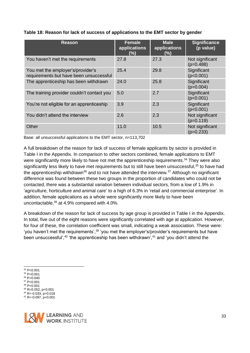| <b>Reason</b>                                                                | <b>Female</b><br>applications<br>(%) | <b>Male</b><br>applications<br>(%) | <b>Significance</b><br>(p value) |
|------------------------------------------------------------------------------|--------------------------------------|------------------------------------|----------------------------------|
| You haven't met the requirements                                             | 27.8                                 | 27.3                               | Not significant<br>$(p=0.488)$   |
| You met the employer's/provider's<br>requirements but have been unsuccessful | 25.4                                 | 29.8                               | Significant<br>(p<0.001)         |
| The apprenticeship has been withdrawn                                        | 24.0                                 | 25.8                               | Significant<br>$(p=0.004)$       |
| The training provider couldn't contact you                                   | 5.0                                  | 2.7                                | Significant<br>(p<0.001)         |
| You're not eligible for an apprenticeship                                    | 3.9                                  | 2.3                                | Significant<br>(p<0.001)         |
| You didn't attend the interview                                              | 2.6                                  | 2.3                                | Not significant<br>$(p=0.119)$   |
| Other                                                                        | 11.0                                 | 10.5                               | Not significant<br>$(p=0.233)$   |

#### **Table 18: Reason for lack of success of applications to the EMT sector by gender**

Base: all unsuccessful applications to the EMT sector, n=113,702

A full breakdown of the reason for lack of success of female applicants by sector is provided in Table I in the Appendix. In comparison to other sectors combined, female applications to EMT were significantly more likely to have not met the apprenticeship requirements.<sup>34</sup> They were also significantly less likely to have met requirements but to still have been unsuccessful,<sup>35</sup> to have had the apprenticeship withdrawn<sup>36</sup> and to not have attended the interview.<sup>37</sup> Although no significant difference was found between these two groups in the proportion of candidates who could not be contacted, there was a substantial variation between individual sectors, from a low of 1.9% in 'agriculture, horticulture and animal care' to a high of 6.3% in 'retail and commercial enterprise'. In addition, female applications as a whole were significantly more likely to have been uncontactable,<sup>38</sup> at 4.9% compared with 4.0%.

A breakdown of the reason for lack of success by age group is provided in Table I in the Appendix. In total, five out of the eight reasons were significantly correlated with age at application. However, for four of these, the correlation coefficient was small, indicating a weak association. These were: 'you haven't met the requirements',<sup>39</sup> 'you met the employer's/provider's requirements but have been unsuccessful', $40$  'the apprenticeship has been withdrawn', $41$  and 'you didn't attend the

-

 $41$  R=-0.097, p<0.001



<sup>34</sup> P<0.001

<sup>35</sup> P<0.001  $36$  P=0.040

<sup>37</sup> P<0.001

<sup>38</sup> P<0.001

<sup>39</sup> R=0.052, p<0.001  $40$  R=-0.033, p=0.018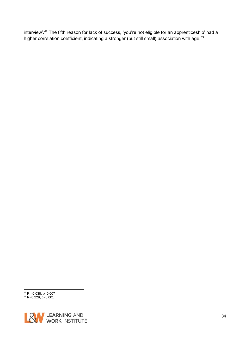interview'.<sup>42</sup> The fifth reason for lack of success, 'you're not eligible for an apprenticeship' had a higher correlation coefficient, indicating a stronger (but still small) association with age.<sup>43</sup>

 R=-0.038, p=0.007 R=0.229, p<0.001

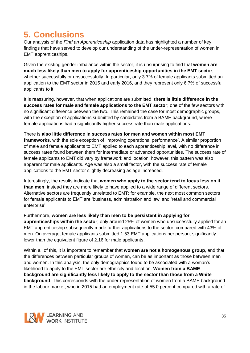# <span id="page-34-0"></span>**5. Conclusions**

Our analysis of the *Find an Apprenticeship* application data has highlighted a number of key findings that have served to develop our understanding of the under-representation of women in EMT apprenticeships.

Given the existing gender imbalance within the sector, it is unsurprising to find that **women are much less likely than men to apply for apprenticeship opportunities in the EMT sector**, whether successfully or unsuccessfully. In particular, only 3.7% of female applicants submitted an application to the EMT sector in 2015 and early 2016, and they represent only 6.7% of successful applicants to it.

It is reassuring, however, that when applications are submitted, **there is little difference in the success rates for male and female applications to the EMT sector**; one of the few sectors with no significant difference between the two. This remained the case for most demographic groups, with the exception of applications submitted by candidates from a BAME background, where female applications had a significantly higher success rate than male applications.

There is **also little difference in success rates for men and women within most EMT frameworks**, with the sole exception of 'improving operational performance'. A similar proportion of male and female applicants to EMT applied to each apprenticeship level, with no difference in success rates found between them for intermediate or advanced opportunities. The success rate of female applicants to EMT did vary by framework and location; however, this pattern was also apparent for male applicants. Age was also a small factor, with the success rate of female applications to the EMT sector slightly decreasing as age increased.

Interestingly, the results indicate that **women who apply to the sector tend to focus less on it than men**; instead they are more likely to have applied to a wide range of different sectors. Alternative sectors are frequently unrelated to EMT; for example, the next most common sectors for female applicants to EMT are 'business, administration and law' and 'retail and commercial enterprise'.

Furthermore, **women are less likely than men to be persistent in applying for apprenticeships within the sector**; only around 25% of women who unsuccessfully applied for an EMT apprenticeship subsequently made further applications to the sector, compared with 43% of men. On average, female applicants submitted 1.53 EMT applications per person, significantly lower than the equivalent figure of 2.16 for male applicants.

Within all of this, it is important to remember that **women are not a homogenous group**, and that the differences between particular groups of women, can be as important as those between men and women. In this analysis, the only demographics found to be associated with a woman's likelihood to apply to the EMT sector are ethnicity and location. **Women from a BAME background are significantly less likely to apply to the sector than those from a White background**. This corresponds with the under-representation of women from a BAME background in the labour market, who in 2015 had an employment rate of 55.0 percent compared with a rate of

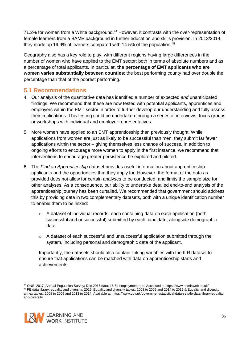71.2% for women from a White background.<sup>44</sup> However, it contrasts with the over-representation of female learners from a BAME background in further education and skills provision. In 2013/2014, they made up 19.9% of learners compared with 14.5% of the population. 45

Geography also has a key role to play, with different regions having large differences in the number of women who have applied to the EMT sector; both in terms of absolute numbers and as a percentage of total applicants. In particular, **the percentage of EMT applicants who are women varies substantially between counties**; the best performing county had over double the percentage than that of the poorest performing.

# <span id="page-35-0"></span>**5.1 Recommendations**

- 4. Our analysis of the quantitative data has identified a number of expected *and* unanticipated findings. We recommend that these are now tested with potential applicants, apprentices and employers within the EMT sector in order to further develop our understanding and fully assess their implications. This testing could be undertaken through a series of interviews, focus groups or workshops with individual and employer representatives.
- 5. More women have applied to an EMT apprenticeship than previously thought. While applications from women are just as likely to be successful than men, they submit far fewer applications within the sector – giving themselves less chance of success. In addition to ongoing efforts to encourage more women to apply in the first instance, we recommend that interventions to encourage greater persistence be explored and piloted.
- 6. The *Find an Apprenticeship* dataset provides useful information about apprenticeship applicants and the opportunities that they apply for. However, the format of the data as provided does not allow for certain analyses to be conducted, and limits the sample size for other analyses. As a consequence, our ability to undertake detailed end-to-end analysis of the apprenticeship journey has been curtailed. We recommended that government should address this by providing data in two complementary datasets, both with a unique identification number to enable them to be linked:
	- $\circ$  A dataset of individual records, each containing data on each application (both successful and unsuccessful) submitted by each candidate, alongside demographic data.
	- o A dataset of each successful and unsuccessful application submitted through the system, including personal and demographic data of the applicant.

Importantly, the datasets should also contain linking variables with the ILR dataset to ensure that applications can be matched with data on apprenticeship starts and achievements.

<sup>44</sup> ONS, 2017. Annual Population Survey: Dec 2016 data: 16-64 employment rate. Accessed at https://www.nomisweb.co.uk/ <sup>45</sup> FE data library: equality and diversity, 2016. Equality and diversity tables: 2008 to 2009 and 2014 to 2015 & Equality and diversity annex tables: 2008 to 2009 and 2013 to 2014. Available at: https://www.gov.uk/government/statistical-data-sets/fe-data-library-equalityand-diversity



1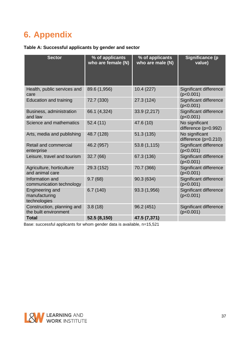# <span id="page-36-0"></span>**6. Appendix**

# **Table A: Successful applicants by gender and sector**

| <b>Sector</b>                                       | % of applicants<br>who are female (N) | % of applicants<br>who are male (N) | Significance (p<br>value)              |
|-----------------------------------------------------|---------------------------------------|-------------------------------------|----------------------------------------|
| Health, public services and<br>care                 | 89.6 (1,956)                          | 10.4(227)                           | Significant difference<br>(p<0.001)    |
| <b>Education and training</b>                       | 72.7 (330)                            | 27.3 (124)                          | Significant difference<br>(p<0.001)    |
| Business, administration<br>and law                 | 66.1 (4,324)                          | 33.9 (2,217)                        | Significant difference<br>(p<0.001)    |
| Science and mathematics                             | 52.4 (11)                             | 47.6 (10)                           | No significant<br>difference (p=0.992) |
| Arts, media and publishing                          | 48.7 (128)                            | 51.3 (135)                          | No significant<br>difference (p=0.210) |
| Retail and commercial<br>enterprise                 | 46.2 (957)                            | 53.8 (1,115)                        | Significant difference<br>(p<0.001)    |
| Leisure, travel and tourism                         | 32.7 (66)                             | 67.3 (136)                          | Significant difference<br>(p<0.001)    |
| Agriculture, horticulture<br>and animal care        | 29.3 (152)                            | 70.7 (366)                          | Significant difference<br>(p<0.001)    |
| Information and<br>communication technology         | 9.7(68)                               | 90.3 (634)                          | Significant difference<br>(p<0.001)    |
| Engineering and<br>manufacturing<br>technologies    | 6.7(140)                              | 93.3 (1,956)                        | Significant difference<br>(p<0.001)    |
| Construction, planning and<br>the built environment | 3.8(18)                               | 96.2 (451)                          | Significant difference<br>(p<0.001)    |
| <b>Total</b>                                        | 52.5 (8,150)                          | 47.5 (7,371)                        |                                        |

Base: successful applicants for whom gender data is available, n=15,521

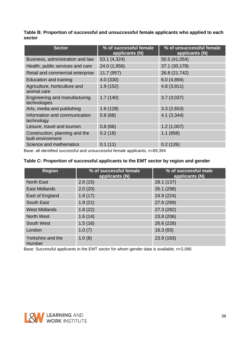#### **Table B: Proportion of successful and unsuccessful female applicants who applied to each sector**

| <b>Sector</b>                                       | % of successful female<br>applicants (N) | % of unsuccessful female<br>applicants (N) |
|-----------------------------------------------------|------------------------------------------|--------------------------------------------|
| Business, administration and law                    | 53.1 (4,324)                             | 50.5 (41,054)                              |
| Health, public services and care                    | 24.0 (1,956)                             | 37.1 (30,178)                              |
| Retail and commercial enterprise                    | 11.7 (957)                               | 26.8 (21,742)                              |
| Education and training                              | 4.0(330)                                 | 6.0(4,894)                                 |
| Agriculture, horticulture and<br>animal care        | 1.9(152)                                 | 4.8(3,911)                                 |
| Engineering and manufacturing<br>technologies       | 1.7(140)                                 | 3.7(3,037)                                 |
| Arts, media and publishing                          | 1.6(128)                                 | 3.3(2,653)                                 |
| Information and communication<br>technology         | 0.8(68)                                  | 4.1(3,344)                                 |
| Leisure, travel and tourism                         | 0.8(66)                                  | 1.2(1,007)                                 |
| Construction, planning and the<br>built environment | 0.2(18)                                  | 1.1(858)                                   |
| Science and mathematics                             | 0.1(11)                                  | 0.2(126)                                   |

Base: all identified successful and unsuccessful female applicants, n=89,394

#### **Table C: Proportion of successful applicants to the EMT sector by region and gender**

| <b>Region</b>                      | % of successful female<br>applicants (N) | % of successful male<br>applicants (N) |
|------------------------------------|------------------------------------------|----------------------------------------|
| <b>North East</b>                  | 2.6(15)                                  | 28.1 (137)                             |
| <b>East Midlands</b>               | 2.0(20)                                  | 35.1 (298)                             |
| East of England                    | 1.9(17)                                  | 24.9 (224)                             |
| <b>South East</b>                  | 1.9(21)                                  | 27.6 (299)                             |
| <b>West Midlands</b>               | 1.8(22)                                  | 27.3 (282)                             |
| <b>North West</b>                  | 1.6(14)                                  | 23.8 (206)                             |
| South West                         | 1.5(16)                                  | 26.6 (228)                             |
| London                             | 1.0(7)                                   | 16.3(93)                               |
| Yorkshire and the<br><b>Humber</b> | 1.0(8)                                   | 23.9 (183)                             |

Base: Successful applicants in the EMT sector for whom gender data is available, n=2,090

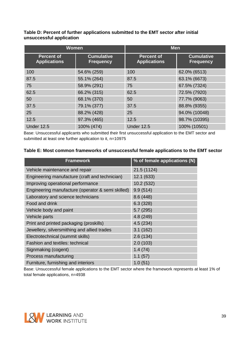#### **Table D: Percent of further applications submitted to the EMT sector after initial unsuccessful application**

| Women                                    |                                       | <b>Men</b>                               |                                       |  |  |
|------------------------------------------|---------------------------------------|------------------------------------------|---------------------------------------|--|--|
| <b>Percent of</b><br><b>Applications</b> | <b>Cumulative</b><br><b>Frequency</b> | <b>Percent of</b><br><b>Applications</b> | <b>Cumulative</b><br><b>Frequency</b> |  |  |
| 100                                      | 54.6% (259)                           | 100                                      | 62.0% (6513)                          |  |  |
| 87.5                                     | 55.1% (264)                           | 87.5                                     | 63.1% (6673)                          |  |  |
| 75                                       | 58.9% (291)                           | 75                                       | 67.5% (7324)                          |  |  |
| 62.5                                     | 66.2% (315)                           | 62.5                                     | 72.5% (7920)                          |  |  |
| 50                                       | 68.1% (370)                           | 50                                       | 77.7% (9063)                          |  |  |
| 37.5                                     | 79.1% (377)                           | 37.5                                     | 88.8% (9355)                          |  |  |
| 25                                       | 88.2% (428)                           | 25                                       | 94.0% (10048)                         |  |  |
| 12.5                                     | 97.3% (465)                           | 12.5                                     | 98.7% (10395)                         |  |  |
| <b>Under 12.5</b>                        | 100% (474)                            | <b>Under 12.5</b>                        | 100% (10501)                          |  |  |

Base: Unsuccessful applicants who submitted their first unsuccessful application to the EMT sector and submitted at least one further application to it, n=10975

#### **Table E: Most common frameworks of unsuccessful female applications to the EMT sector**

| <b>Framework</b>                                  | % of female applications (N) |
|---------------------------------------------------|------------------------------|
| Vehicle maintenance and repair                    | 21.5 (1124)                  |
| Engineering manufacture (craft and technician)    | 12.1 (633)                   |
| Improving operational performance                 | 10.2 (532)                   |
| Engineering manufacture (operator & semi skilled) | 9.9(514)                     |
| Laboratory and science technicians                | 8.6 (448)                    |
| Food and drink                                    | 6.3(328)                     |
| Vehicle body and paint                            | 5.7(295)                     |
| Vehicle parts                                     | 4.8(249)                     |
| Print and printed packaging (proskills)           | 4.5(234)                     |
| Jewellery, silversmithing and allied trades       | 3.1(162)                     |
| Electrotechnical (summit skills)                  | 2.6(134)                     |
| <b>Fashion and textiles: technical</b>            | 2.0(103)                     |
| Signmaking (cogent)                               | 1.4(74)                      |
| Process manufacturing                             | 1.1(57)                      |
| Furniture, furnishing and interiors               | 1.0(51)                      |

Base: Unsuccessful female applications to the EMT sector where the framework represents at least 1% of total female applications, n=4938

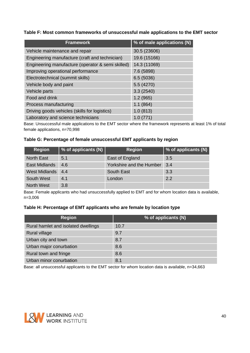#### **Table F: Most common frameworks of unsuccessful male applications to the EMT sector**

| <b>Framework</b>                                  | % of male applications (N) |
|---------------------------------------------------|----------------------------|
| Vehicle maintenance and repair                    | 30.5 (23606)               |
| Engineering manufacture (craft and technician)    | 19.6 (15166)               |
| Engineering manufacture (operator & semi skilled) | 14.3 (11069)               |
| Improving operational performance                 | 7.6 (5898)                 |
| Electrotechnical (summit skills)                  | 6.5(5036)                  |
| Vehicle body and paint                            | 5.5 (4270)                 |
| Vehicle parts                                     | 3.3(2540)                  |
| Food and drink                                    | 1.2(965)                   |
| Process manufacturing                             | 1.1(864)                   |
| Driving goods vehicles (skills for logistics)     | 1.0(813)                   |
| Laboratory and science technicians                | 1.0(771)                   |

Base: Unsuccessful male applications to the EMT sector where the framework represents at least 1% of total female applications, n=70,998

#### **Table G: Percentage of female unsuccessful EMT applicants by region**

| <b>Region</b>        | % of applicants $(N)$ | <b>Region</b>            | % of applicants (N) |
|----------------------|-----------------------|--------------------------|---------------------|
| <b>North East</b>    | 5.1                   | East of England          | 3.5                 |
| East Midlands        | 4.6                   | Yorkshire and the Humber | 3.4                 |
| <b>West Midlands</b> | 4.4                   | <b>South East</b>        | 3.3                 |
| South West           | 4.1                   | London                   | 2.2                 |
| <b>North West</b>    | 3.8                   |                          |                     |

Base: Female applicants who had unsuccessfully applied to EMT and for whom location data is available, n=3,006

#### **Table H: Percentage of EMT applicants who are female by location type**

| <b>Region</b>                       | % of applicants (N) |
|-------------------------------------|---------------------|
| Rural hamlet and isolated dwellings | 10.7                |
| Rural village                       | 9.7                 |
| Urban city and town                 | 8.7                 |
| Urban major conurbation             | 8.6                 |
| Rural town and fringe               | 8.6                 |
| Urban minor conurbation             | 8.1                 |

Base: all unsuccessful applicants to the EMT sector for whom location data is available, n=34,663

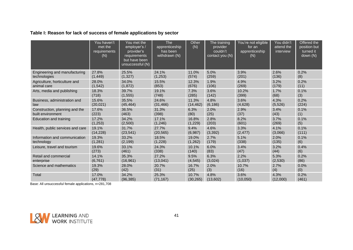# **Table I: Reason for lack of success of female applications by sector**

|                                  | You haven't<br>met the<br>requirements<br>(N) | You met the<br>employer's /<br>provider's<br>requirements<br>but have been<br>unsuccessful (N) | <b>The</b><br>apprenticeship<br>has been<br>withdrawn (N) | Other<br>(N) | The training<br>provider<br>couldn't<br>contact you (N) | You're not eligible<br>for an<br>apprenticeship<br>(N) | You didn't<br>attend the<br>interview | Offered the<br>position but<br>turned it<br>down (N) |
|----------------------------------|-----------------------------------------------|------------------------------------------------------------------------------------------------|-----------------------------------------------------------|--------------|---------------------------------------------------------|--------------------------------------------------------|---------------------------------------|------------------------------------------------------|
| Engineering and manufacturing    | 27.8%                                         | 25.5%                                                                                          | 24.1%                                                     | 11.0%        | 5.0%                                                    | 3.9%                                                   | 2.6%                                  | 0.2%                                                 |
| technologies                     | (1, 449)                                      | (1, 327)                                                                                       | (1,253)                                                   | (574)        | (259)                                                   | (201)                                                  | (136)                                 | (8)                                                  |
| Agriculture, horticulture and    | 28.0%                                         | 34.0%                                                                                          | 15.5%                                                     | 12.3%        | 1.9%                                                    | 4.9%                                                   | 3.2%                                  | 0.2%                                                 |
| animal care                      | (1, 542)                                      | (1,872)                                                                                        | (853)                                                     | (676)        | (106)                                                   | (269)                                                  | (179)                                 | (11)                                                 |
| Arts, media and publishing       | 18.3%                                         | 39.7%                                                                                          | 19.1%                                                     | 7.3%         | 3.6%                                                    | 10.2%                                                  | 1.7%                                  | 0.1%                                                 |
|                                  | (718)                                         | (1, 555)                                                                                       | (748)                                                     | (285)        | (142)                                                   | (399)                                                  | (68)                                  | (3)                                                  |
| Business, administration and     | 15.6%                                         | 35.5%                                                                                          | 24.6%                                                     | 11.3%        | 4.8%                                                    | 3.6%                                                   | 4.3%                                  | 0.2%                                                 |
| law                              | (20, 021)                                     | (45, 464)                                                                                      | (31, 466)                                                 | (14, 462)    | (6, 186)                                                | (4,628)                                                | (5, 526)                              | (224)                                                |
| Construction, planning and the   | 17.6%                                         | 36.5%                                                                                          | 31.3%                                                     | 6.3%         | 2.0%                                                    | 2.9%                                                   | 3.4%                                  | 0.1%                                                 |
| built environment                | (223)                                         | (463)                                                                                          | (398)                                                     | (80)         | (25)                                                    | (37)                                                   | (43)                                  | (1)                                                  |
| Education and training           | 17.2%                                         | 34.2%                                                                                          | 17.1%                                                     | 16.8%        | 2.8%                                                    | 8.2%                                                   | 3.7%                                  | 0.1%                                                 |
|                                  | (1,253)                                       | (2,500)                                                                                        | (1,246)                                                   | (1,229)      | (203)                                                   | (601)                                                  | (269)                                 | (5)                                                  |
| Health, public services and care | 19.1%                                         | 31.7%                                                                                          | 27.7%                                                     | 9.4%         | 4.6%                                                    | 3.3%                                                   | 4.1%                                  | 0.1%                                                 |
|                                  | (14, 228)                                     | (23, 541)                                                                                      | (20, 565)                                                 | (6,987)      | (3, 392)                                                | (2, 477)                                               | (3,066)                               | (111)                                                |
| Information and communication    | 19.3%                                         | 33.2%                                                                                          | 18.5%                                                     | 19.0%        | 2.7%                                                    | 5.1%                                                   | 2.0%                                  | 0.1%                                                 |
| technology                       | (1, 281)                                      | (2, 199)                                                                                       | (1,228)                                                   | (1,262)      | (179)                                                   | (338)                                                  | (135)                                 | (6)                                                  |
| Leisure, travel and tourism      | 19.6%                                         | 33.1%                                                                                          | 24.3%                                                     | 10.1%        | 6.0%                                                    | 3.4%                                                   | 3.2%                                  | 0.4%                                                 |
|                                  | (273)                                         | (461)                                                                                          | (338)                                                     | (140)        | (83)                                                    | (47)                                                   | (44)                                  | (6)                                                  |
| Retail and commercial            | 14.1%                                         | 35.3%                                                                                          | 27.2%                                                     | 9.5%         | 6.3%                                                    | 2.2%                                                   | 5.3%                                  | 0.2%                                                 |
| enterprise                       | (6, 761)                                      | (16, 961)                                                                                      | (13,041)                                                  | (4, 545)     | (3,024)                                                 | (1,037)                                                | (2,530)                               | (86)                                                 |
| Science and mathematics          | 19.3%                                         | 28.0%                                                                                          | 20.7%                                                     | 16.7%        | 2.0%                                                    | 10.7%                                                  | 2.7%                                  | 0.0%                                                 |
|                                  | (29)                                          | (42)                                                                                           | (31)                                                      | (25)         | (3)                                                     | (16)                                                   | (4)                                   | (0)                                                  |
| Total                            | 17.0%                                         | 34.2%                                                                                          | 25.3%                                                     | 10.7%        | 4.8%                                                    | 3.6%                                                   | 4.3%                                  | 0.2%                                                 |
|                                  | (47, 778)                                     | (96, 385)                                                                                      | (71, 167)                                                 | (30, 265)    | (13,602)                                                | (10,050)                                               | (12,000)                              | (461)                                                |

Base: All unsuccessful female applications, n=281,708